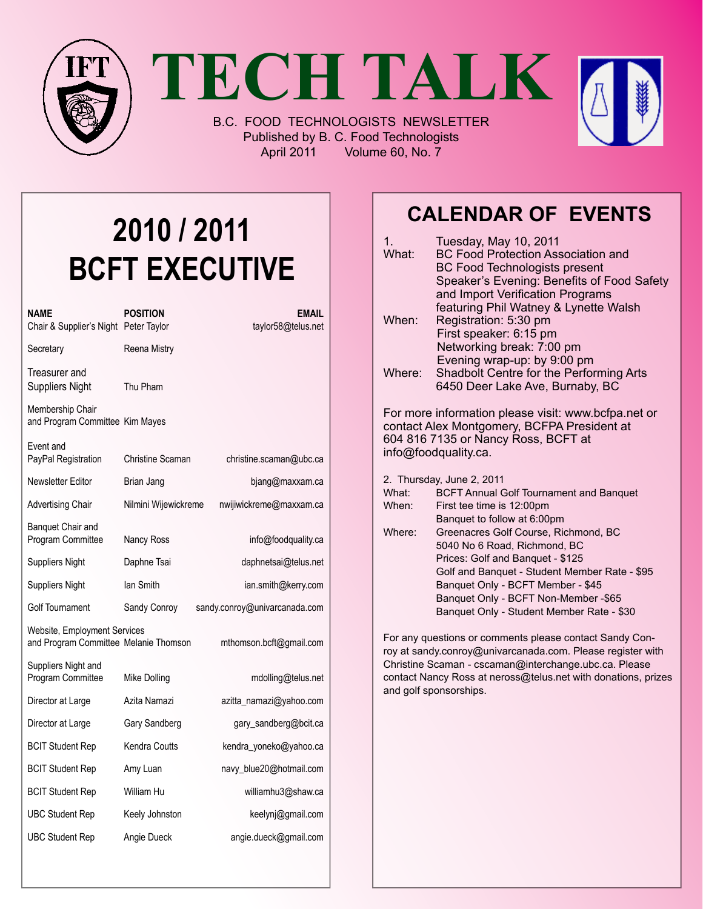

**TECH TALK**

B.C. FOOD TECHNOLOGISTS NEWSLETTER Published by B. C. Food Technologists April 2011 Volume 60, No. 7

# **2010 / 2011 BCFT EXECUTIVE**

| NAME<br>Chair & Supplier's Night Peter Taylor                         | POSITION             | EMAIL<br>taylor58@telus.net   |
|-----------------------------------------------------------------------|----------------------|-------------------------------|
| Secretary                                                             | Reena Mistry         |                               |
| Treasurer and<br><b>Suppliers Night</b>                               | Thu Pham             |                               |
| Membership Chair<br>and Program Committee Kim Mayes                   |                      |                               |
| Event and<br>PayPal Registration                                      | Christine Scaman     | christine.scaman@ubc.ca       |
| Newsletter Editor                                                     | Brian Jang           | bjang@maxxam.ca               |
| <b>Advertising Chair</b>                                              | Nilmini Wijewickreme | nwijiwickreme@maxxam.ca       |
| Banquet Chair and<br><b>Program Committee</b>                         | Nancy Ross           | info@foodquality.ca           |
| Suppliers Night                                                       | Daphne Tsai          | daphnetsai@telus.net          |
| <b>Suppliers Night</b>                                                | lan Smith            | ian.smith@kerry.com           |
| <b>Golf Tournament</b>                                                | Sandy Conroy         | sandy.conroy@univarcanada.com |
| Website, Employment Services<br>and Program Committee Melanie Thomson |                      | mthomson.bcft@gmail.com       |
| Suppliers Night and<br>Program Committee                              | Mike Dolling         | mdolling@telus.net            |
| Director at Large                                                     | Azita Namazi         | azitta_namazi@yahoo.com       |
| Director at Large                                                     | Gary Sandberg        | gary_sandberg@bcit.ca         |
| <b>BCIT Student Rep</b>                                               | Kendra Coutts        | kendra_yoneko@yahoo.ca        |
| <b>BCIT Student Rep</b>                                               | Amy Luan             | navy_blue20@hotmail.com       |
| <b>BCIT Student Rep</b>                                               | William Hu           | williamhu3@shaw.ca            |
| <b>UBC Student Rep</b>                                                | Keely Johnston       | keelynj@gmail.com             |
| <b>UBC Student Rep</b>                                                | Angie Dueck          | angie.dueck@gmail.com         |

### **Calendar Of Events**

| 1 <sub>1</sub><br>What:<br>When:                                                                                                                                  | Tuesday, May 10, 2011<br><b>BC Food Protection Association and</b><br><b>BC Food Technologists present</b><br>Speaker's Evening: Benefits of Food Safety<br>and Import Verification Programs<br>featuring Phil Watney & Lynette Walsh<br>Registration: 5:30 pm<br>First speaker: 6:15 pm<br>Networking break: 7:00 pm<br>Evening wrap-up: by 9:00 pm |  |  |
|-------------------------------------------------------------------------------------------------------------------------------------------------------------------|------------------------------------------------------------------------------------------------------------------------------------------------------------------------------------------------------------------------------------------------------------------------------------------------------------------------------------------------------|--|--|
| Where:                                                                                                                                                            | Shadbolt Centre for the Performing Arts<br>6450 Deer Lake Ave, Burnaby, BC                                                                                                                                                                                                                                                                           |  |  |
| For more information please visit: www.bcfpa.net or<br>contact Alex Montgomery, BCFPA President at<br>604 816 7135 or Nancy Ross, BCFT at<br>info@foodquality.ca. |                                                                                                                                                                                                                                                                                                                                                      |  |  |
| 2. Thursday, June 2, 2011                                                                                                                                         |                                                                                                                                                                                                                                                                                                                                                      |  |  |
| What:                                                                                                                                                             | <b>BCFT Annual Golf Tournament and Banquet</b>                                                                                                                                                                                                                                                                                                       |  |  |
| When:                                                                                                                                                             | First tee time is 12:00pm                                                                                                                                                                                                                                                                                                                            |  |  |
| Where:                                                                                                                                                            | Banquet to follow at 6:00pm<br>Greenacres Golf Course, Richmond, BC                                                                                                                                                                                                                                                                                  |  |  |
|                                                                                                                                                                   | 5040 No 6 Road, Richmond, BC                                                                                                                                                                                                                                                                                                                         |  |  |
|                                                                                                                                                                   | Prices: Golf and Banquet - \$125                                                                                                                                                                                                                                                                                                                     |  |  |
|                                                                                                                                                                   | Golf and Banquet - Student Member Rate - \$95                                                                                                                                                                                                                                                                                                        |  |  |
|                                                                                                                                                                   | Banquet Only - BCFT Member - \$45                                                                                                                                                                                                                                                                                                                    |  |  |
|                                                                                                                                                                   | Banquet Only - BCFT Non-Member -\$65                                                                                                                                                                                                                                                                                                                 |  |  |
|                                                                                                                                                                   | Banquet Only - Student Member Rate - \$30                                                                                                                                                                                                                                                                                                            |  |  |
|                                                                                                                                                                   | For any questions or comments please contact Sandy Con-<br>roy at sandy.conroy@univarcanada.com. Please register with<br>Christine Scaman - cscaman@interchange.ubc.ca. Please<br>contact Nancy Ross at neross@telus.net with donations, prizes<br>and golf sponsorships.                                                                            |  |  |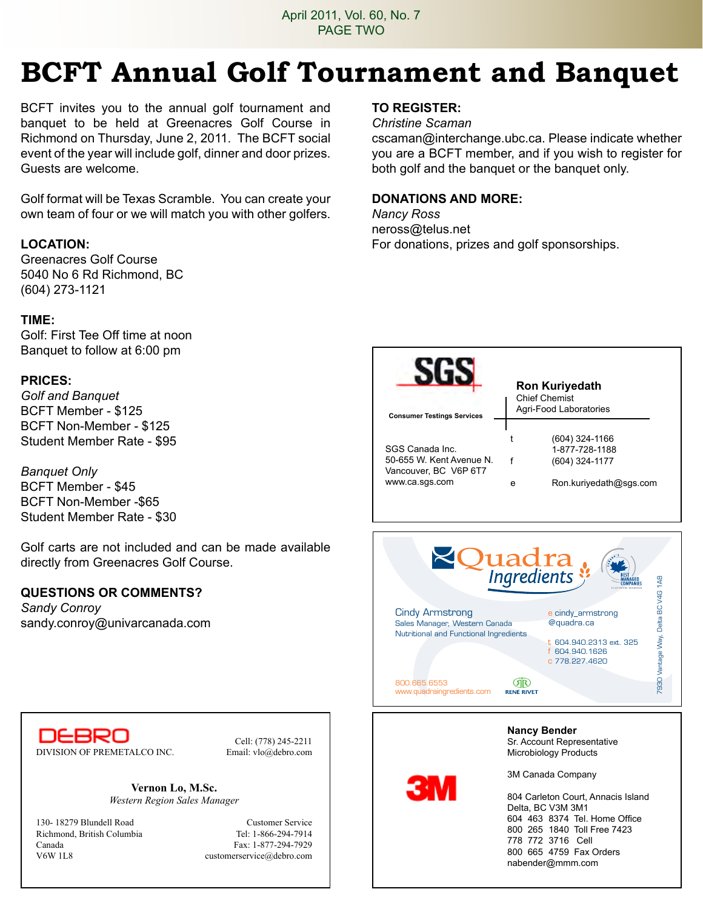April 2011, Vol. 60, No. 7 PAGE TWO

# **BCFT Annual Golf Tournament and Banquet**

BCFT invites you to the annual golf tournament and banquet to be held at Greenacres Golf Course in Richmond on Thursday, June 2, 2011. The BCFT social event of the year will include golf, dinner and door prizes. Guests are welcome.

Golf format will be Texas Scramble. You can create your own team of four or we will match you with other golfers.

#### **Location:**

Greenacres Golf Course 5040 No 6 Rd Richmond, BC (604) 273-1121

#### **Time:**

Golf: First Tee Off time at noon Banquet to follow at 6:00 pm

#### **Prices:**

*Golf and Banquet* BCFT Member - \$125 BCFT Non-Member - \$125 Student Member Rate - \$95

*Banquet Only* BCFT Member - \$45 BCFT Non-Member -\$65 Student Member Rate - \$30

Golf carts are not included and can be made available directly from Greenacres Golf Course.

#### **QUESTIONS OR COMMENTS?**

*Sandy Conroy* sandy.conroy@univarcanada.com



Cell: (778) 245-2211

**Vernon Lo, M.Sc.** *Western Region Sales Manager*

130- 18279 Blundell Road Customer Service Richmond, British Columbia Tel: 1-866-294-7914 Canada Fax: 1-877-294-7929 V6W 1L8 customerservice@debro.com

#### **TO REGISTER:**

*Christine Scaman* 

cscaman@interchange.ubc.ca. Please indicate whether you are a BCFT member, and if you wish to register for both golf and the banquet or the banquet only.

#### **DONATIONS AND MORE:**

*Nancy Ross* neross@telus.net For donations, prizes and golf sponsorships.





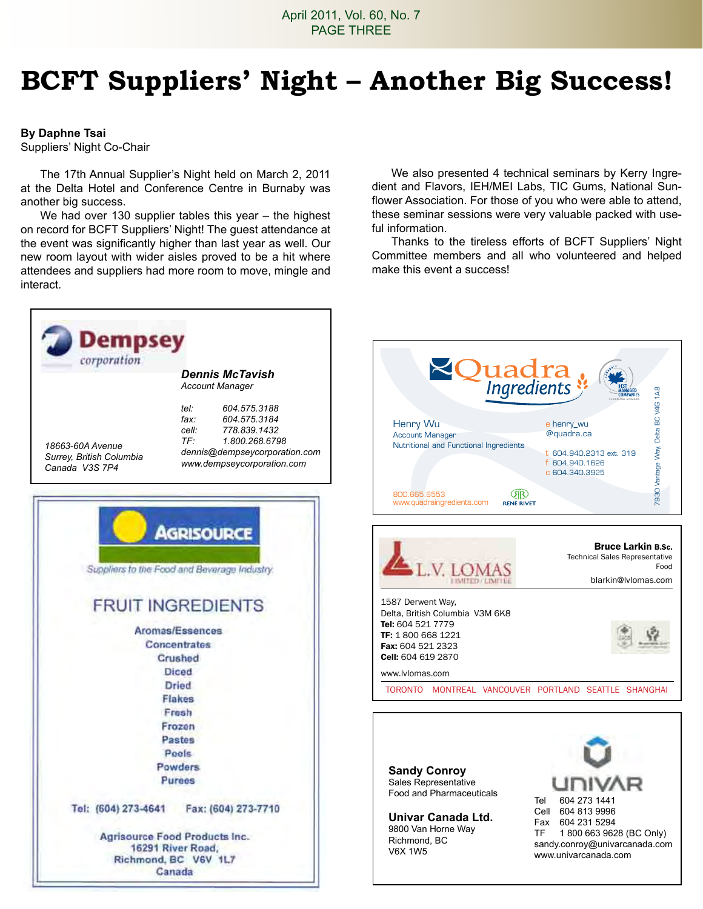# **BCFT Suppliers' Night – Another Big Success!**

#### **By Daphne Tsai**

Suppliers' Night Co-Chair

The 17th Annual Supplier's Night held on March 2, 2011 at the Delta Hotel and Conference Centre in Burnaby was another big success.

We had over 130 supplier tables this year – the highest on record for BCFT Suppliers' Night! The guest attendance at the event was significantly higher than last year as well. Our new room layout with wider aisles proved to be a hit where attendees and suppliers had more room to move, mingle and interact.

We also presented 4 technical seminars by Kerry Ingredient and Flavors, IEH/MEI Labs, TIC Gums, National Sunflower Association. For those of you who were able to attend, these seminar sessions were very valuable packed with useful information.

Thanks to the tireless efforts of BCFT Suppliers' Night Committee members and all who volunteered and helped make this event a success!

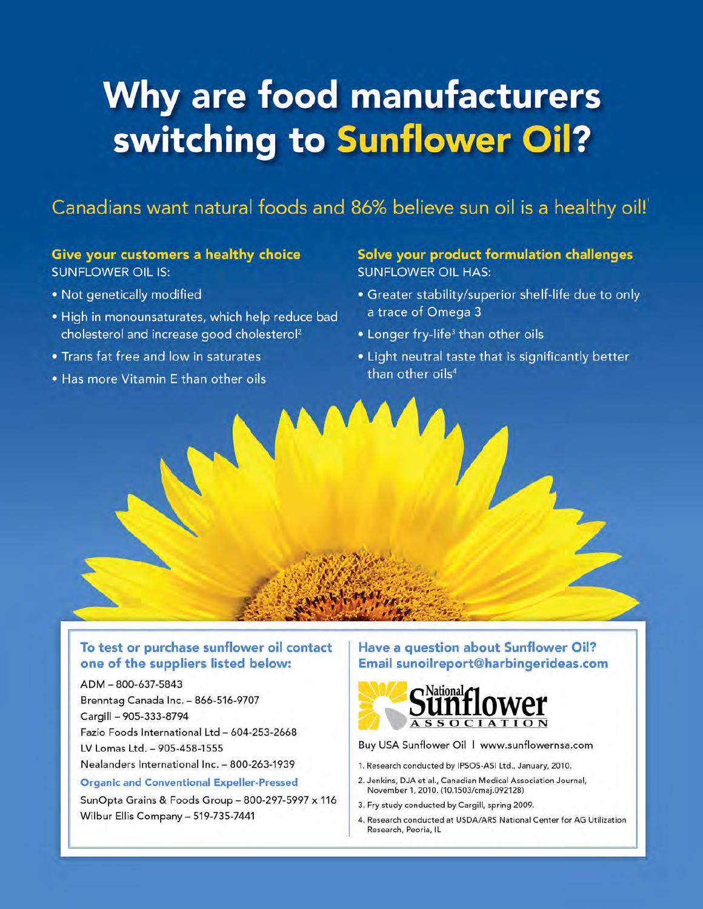# Why are food manufacturers switching to Sunflower Oil?

### Canadians want natural foods and 86% believe sun oil is a healthy oil!'

#### Give your customers a healthy choice **SUNFLOWER OIL IS:**

- . Not genetically modified
- . High in monounsaturates, which help reduce bad cholesterol and increase good cholesterol<sup>2</sup>
- . Trans fat free and low in saturates
- . Has more Vitamin E than other oils

#### Solve your product formulation challenges **SUNFLOWER OIL HAS:**

- Greater stability/superior shelf-life due to only a trace of Omega 3
- Longer fry-life<sup>3</sup> than other oils
- . Light neutral taste that is significantly better than other oils<sup>4</sup>



#### To test or purchase sunflower oil contact one of the suppliers listed below:

ADM-800-637-5843 Brenntag Canada Inc. - 866-516-9707 Cargill - 905-333-8794 Fazio Foods International Ltd - 604-253-2668 LV Lomas Ltd. - 905-458-1555 Nealanders International Inc. - 800-263-1939

#### **Organic and Conventional Expeller-Pressed**

SunOpta Grains & Foods Group - 800-297-5997 x 116 Wilbur Ellis Company - 519-735-7441

#### Have a question about Sunflower Oil? Email sunoilreport@harbingerideas.com



Buy USA Sunflower Oil | www.sunflowernsa.com

- 1. Research conducted by IPSOS-ASI Ltd., January, 2010.
- 2. Jenkins, DJA et al., Canadian Medical Association Journal, November 1, 2010. (10.1503/cmaj.092128)
- 3. Fry study conducted by Cargill, spring 2009.
- 4. Research conducted at USDA/ARS National Center for AG Utilization Research, Peoria, IL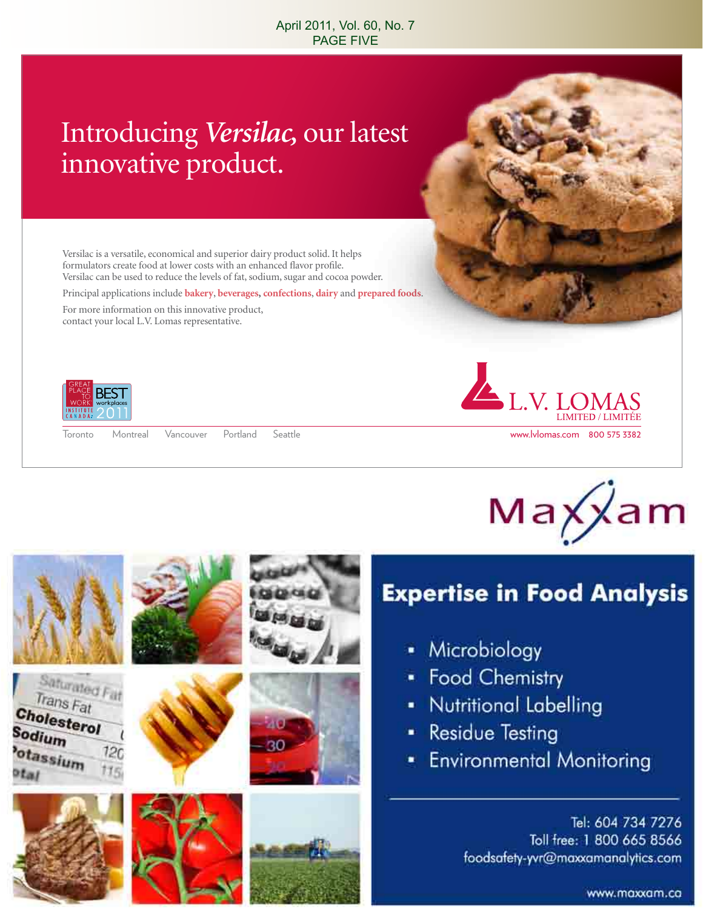#### April 2011, Vol. 60, No. 7 PAGE FIVE

## Introducing *Versilac,* our latest innovative product.

Versilac is a versatile, economical and superior dairy product solid. It helps formulators create food at lower costs with an enhanced flavor profile. Versilac can be used to reduce the levels of fat, sodium, sugar and cocoa powder.

Principal applications include **bakery**, **beverages, confections**, **dairy** and **prepared foods**.

30

For more information on this innovative product, contact your local L.V. Lomas representative.



Saturated Fat Trans Fat

 $12($ 

Cholesterol

Sodium

otassium





### **Expertise in Food Analysis**

- Microbiology
- Food Chemistry
- Nutritional Labelling
- **Residue Testing**
- **Environmental Monitoring**

Tel: 604 734 7276 Toll free: 1 800 665 8566 foodsafety-yvr@maxxamanalytics.com

www.maxxam.co